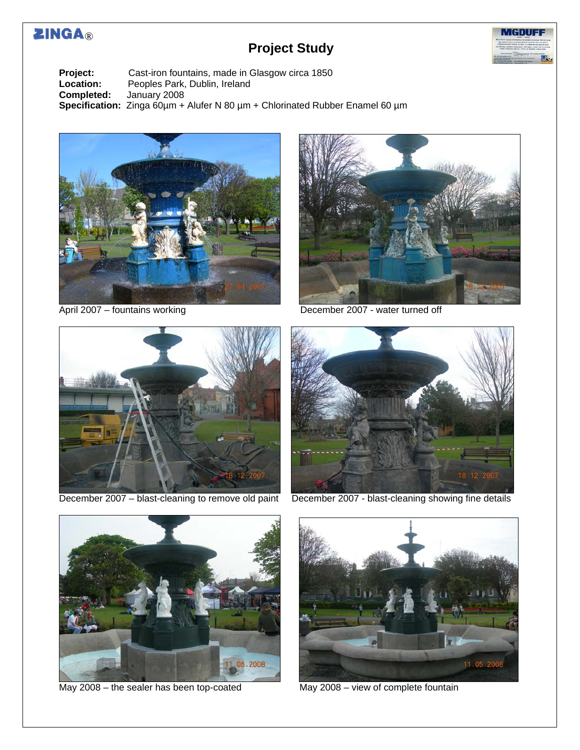# **ZINGA®**

## **Project Study**



**Project:** Cast-iron fountains, made in Glasgow circa 1850<br> **Location:** Peoples Park, Dublin, Ireland **Location:** Peoples Park, Dublin, Ireland<br>**Completed:** January 2008 **Completed:** January 2008 **Specification:** Zinga 60µm + Alufer N 80 µm + Chlorinated Rubber Enamel 60 µm





April 2007 – fountains working December 2007 - water turned off





December 2007 – blast-cleaning to remove old paint December 2007 - blast-cleaning showing fine details



May 2008 – the sealer has been top-coated May 2008 – view of complete fountain